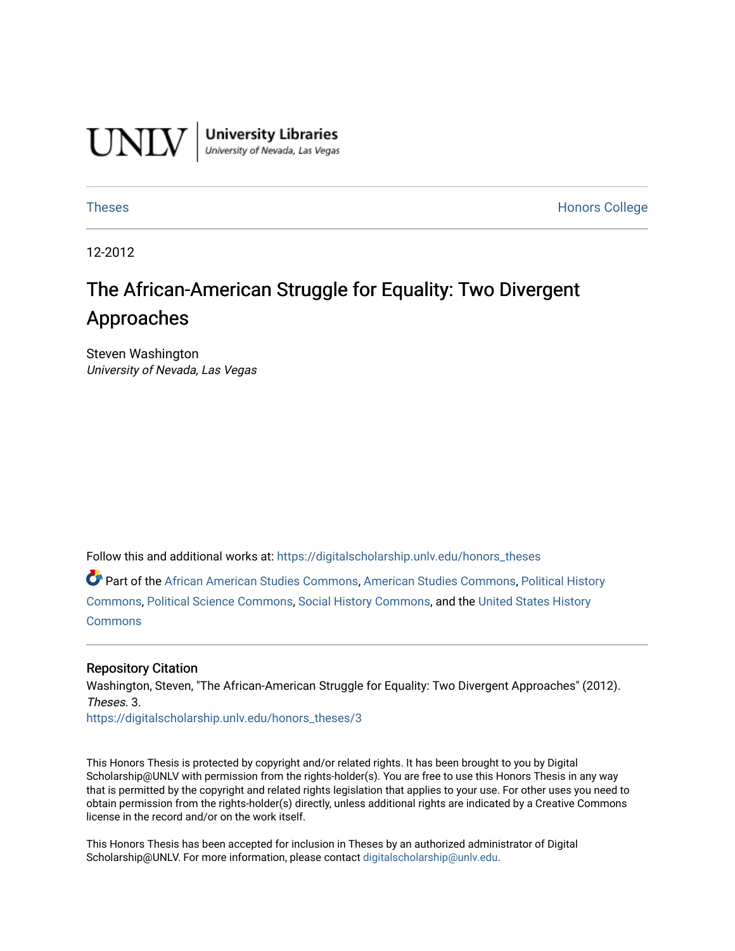

**University Libraries**<br>University of Nevada, Las Vegas

[Theses](https://digitalscholarship.unlv.edu/honors_theses) **Honors College** [Honors College](https://digitalscholarship.unlv.edu/honors) **Honors College** 

12-2012

# The African-American Struggle for Equality: Two Divergent Approaches

Steven Washington University of Nevada, Las Vegas

Follow this and additional works at: [https://digitalscholarship.unlv.edu/honors\\_theses](https://digitalscholarship.unlv.edu/honors_theses?utm_source=digitalscholarship.unlv.edu%2Fhonors_theses%2F3&utm_medium=PDF&utm_campaign=PDFCoverPages) 

Part of the [African American Studies Commons,](http://network.bepress.com/hgg/discipline/567?utm_source=digitalscholarship.unlv.edu%2Fhonors_theses%2F3&utm_medium=PDF&utm_campaign=PDFCoverPages) [American Studies Commons,](http://network.bepress.com/hgg/discipline/439?utm_source=digitalscholarship.unlv.edu%2Fhonors_theses%2F3&utm_medium=PDF&utm_campaign=PDFCoverPages) [Political History](http://network.bepress.com/hgg/discipline/505?utm_source=digitalscholarship.unlv.edu%2Fhonors_theses%2F3&utm_medium=PDF&utm_campaign=PDFCoverPages) [Commons](http://network.bepress.com/hgg/discipline/505?utm_source=digitalscholarship.unlv.edu%2Fhonors_theses%2F3&utm_medium=PDF&utm_campaign=PDFCoverPages), [Political Science Commons](http://network.bepress.com/hgg/discipline/386?utm_source=digitalscholarship.unlv.edu%2Fhonors_theses%2F3&utm_medium=PDF&utm_campaign=PDFCoverPages), [Social History Commons,](http://network.bepress.com/hgg/discipline/506?utm_source=digitalscholarship.unlv.edu%2Fhonors_theses%2F3&utm_medium=PDF&utm_campaign=PDFCoverPages) and the [United States History](http://network.bepress.com/hgg/discipline/495?utm_source=digitalscholarship.unlv.edu%2Fhonors_theses%2F3&utm_medium=PDF&utm_campaign=PDFCoverPages) [Commons](http://network.bepress.com/hgg/discipline/495?utm_source=digitalscholarship.unlv.edu%2Fhonors_theses%2F3&utm_medium=PDF&utm_campaign=PDFCoverPages)

#### Repository Citation

Washington, Steven, "The African-American Struggle for Equality: Two Divergent Approaches" (2012). Theses. 3.

[https://digitalscholarship.unlv.edu/honors\\_theses/3](https://digitalscholarship.unlv.edu/honors_theses/3?utm_source=digitalscholarship.unlv.edu%2Fhonors_theses%2F3&utm_medium=PDF&utm_campaign=PDFCoverPages) 

This Honors Thesis is protected by copyright and/or related rights. It has been brought to you by Digital Scholarship@UNLV with permission from the rights-holder(s). You are free to use this Honors Thesis in any way that is permitted by the copyright and related rights legislation that applies to your use. For other uses you need to obtain permission from the rights-holder(s) directly, unless additional rights are indicated by a Creative Commons license in the record and/or on the work itself.

This Honors Thesis has been accepted for inclusion in Theses by an authorized administrator of Digital Scholarship@UNLV. For more information, please contact [digitalscholarship@unlv.edu.](mailto:digitalscholarship@unlv.edu)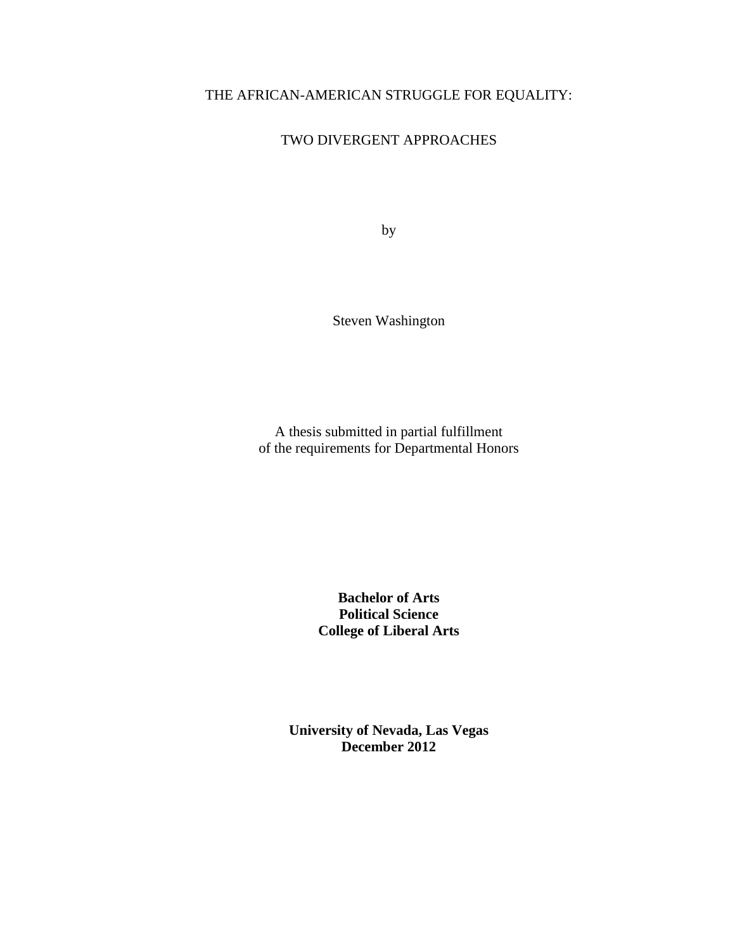# THE AFRICAN-AMERICAN STRUGGLE FOR EQUALITY:

# TWO DIVERGENT APPROACHES

by

Steven Washington

A thesis submitted in partial fulfillment of the requirements for Departmental Honors

> **Bachelor of Arts Political Science College of Liberal Arts**

**University of Nevada, Las Vegas December 2012**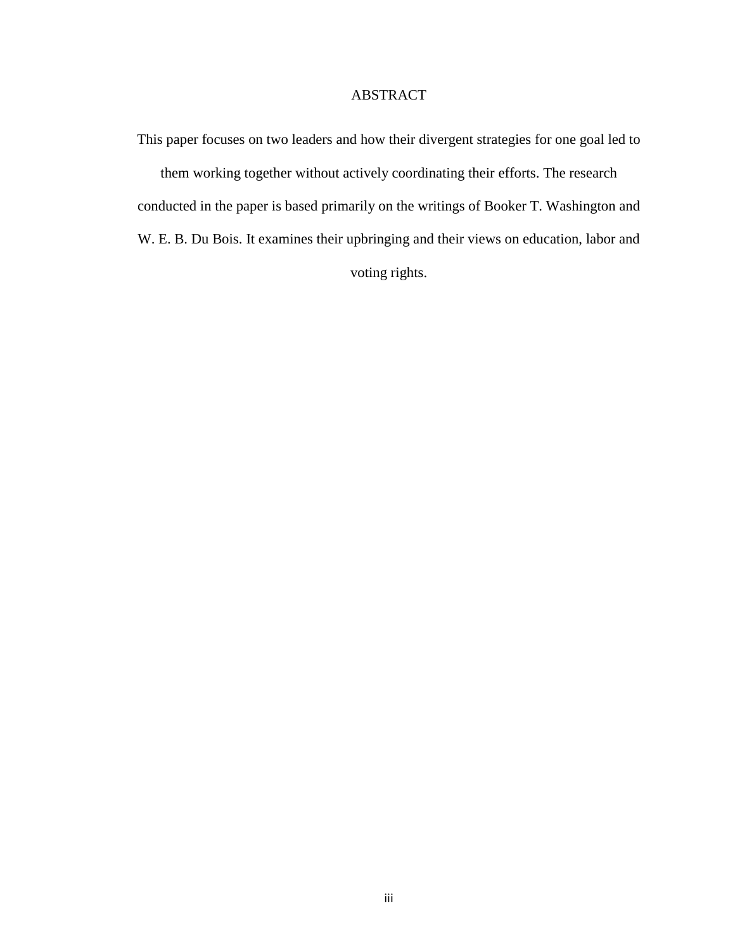## ABSTRACT

This paper focuses on two leaders and how their divergent strategies for one goal led to them working together without actively coordinating their efforts. The research conducted in the paper is based primarily on the writings of Booker T. Washington and W. E. B. Du Bois. It examines their upbringing and their views on education, labor and voting rights.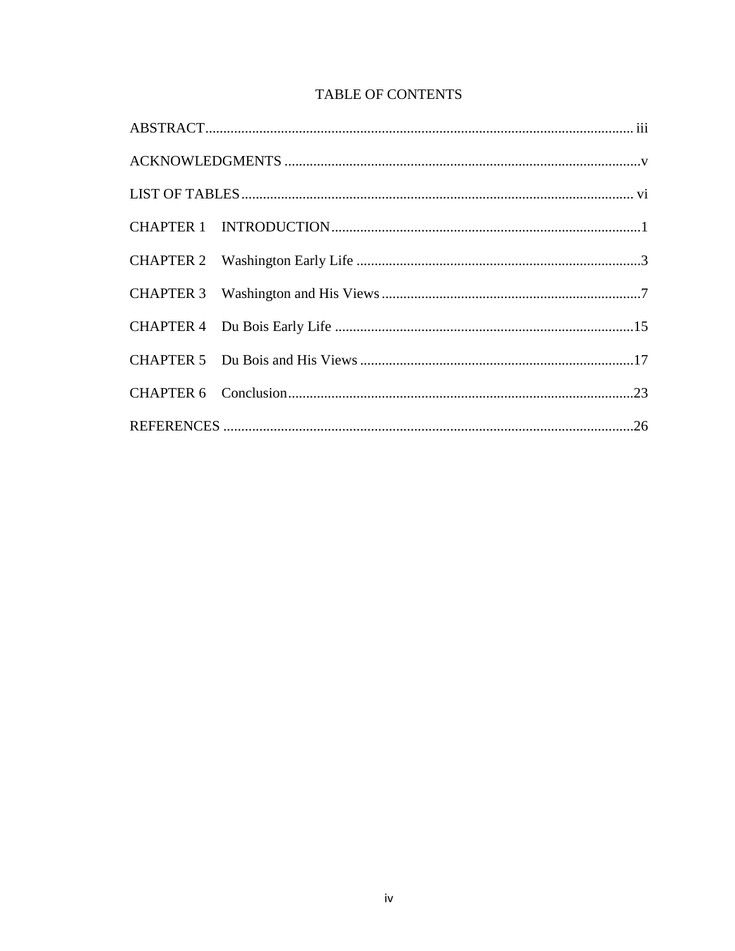# **TABLE OF CONTENTS**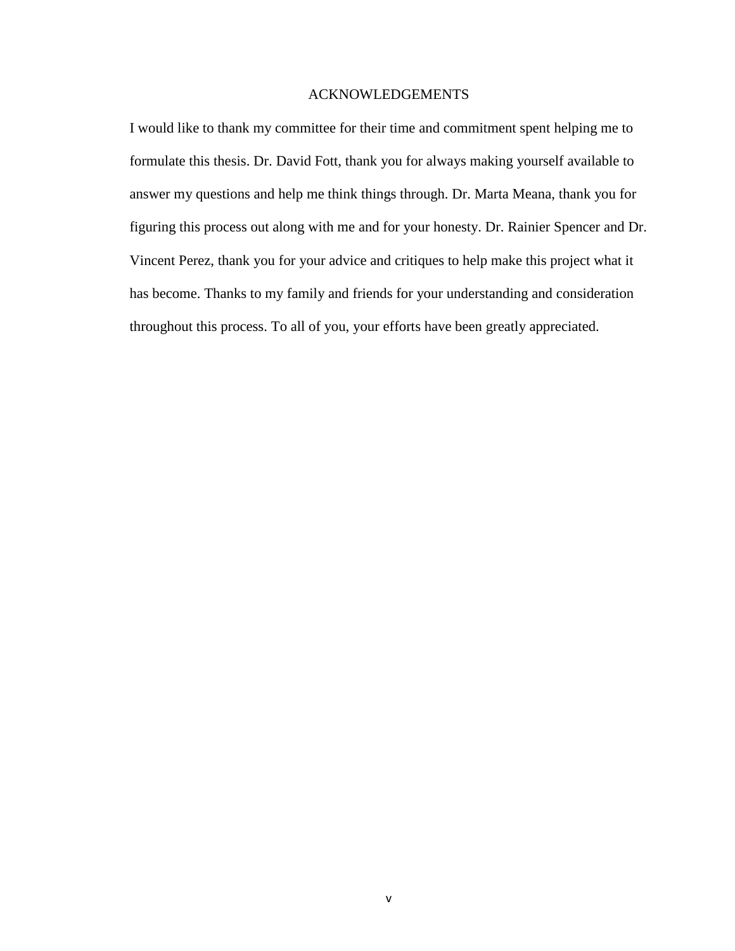## ACKNOWLEDGEMENTS

I would like to thank my committee for their time and commitment spent helping me to formulate this thesis. Dr. David Fott, thank you for always making yourself available to answer my questions and help me think things through. Dr. Marta Meana, thank you for figuring this process out along with me and for your honesty. Dr. Rainier Spencer and Dr. Vincent Perez, thank you for your advice and critiques to help make this project what it has become. Thanks to my family and friends for your understanding and consideration throughout this process. To all of you, your efforts have been greatly appreciated.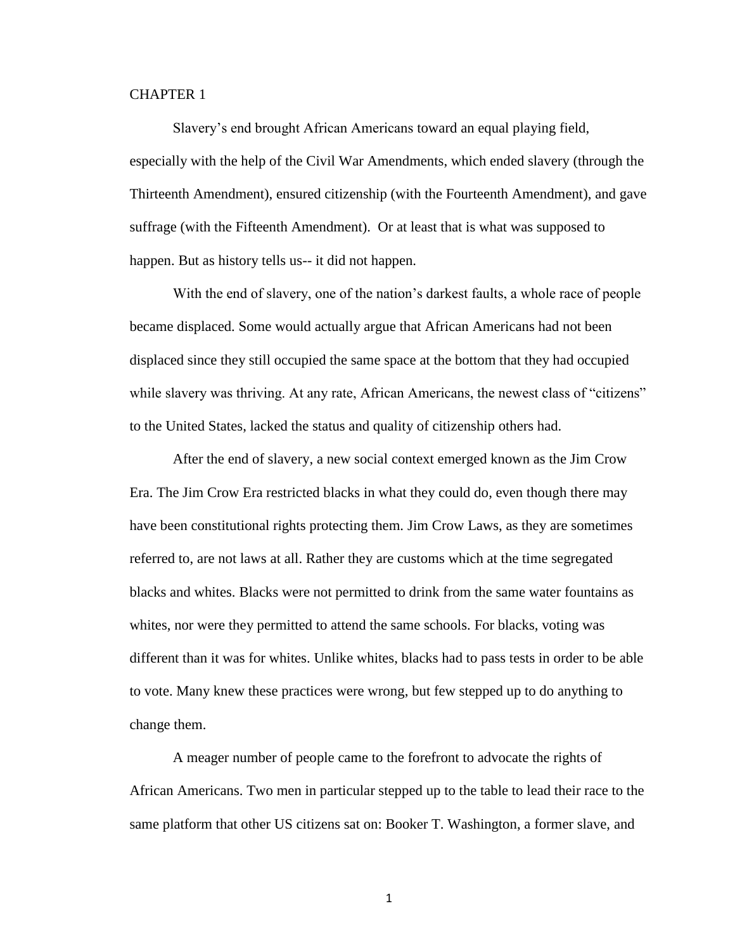## CHAPTER 1

Slavery's end brought African Americans toward an equal playing field, especially with the help of the Civil War Amendments, which ended slavery (through the Thirteenth Amendment), ensured citizenship (with the Fourteenth Amendment), and gave suffrage (with the Fifteenth Amendment). Or at least that is what was supposed to happen. But as history tells us-- it did not happen.

With the end of slavery, one of the nation's darkest faults, a whole race of people became displaced. Some would actually argue that African Americans had not been displaced since they still occupied the same space at the bottom that they had occupied while slavery was thriving. At any rate, African Americans, the newest class of "citizens" to the United States, lacked the status and quality of citizenship others had.

After the end of slavery, a new social context emerged known as the Jim Crow Era. The Jim Crow Era restricted blacks in what they could do, even though there may have been constitutional rights protecting them. Jim Crow Laws, as they are sometimes referred to, are not laws at all. Rather they are customs which at the time segregated blacks and whites. Blacks were not permitted to drink from the same water fountains as whites, nor were they permitted to attend the same schools. For blacks, voting was different than it was for whites. Unlike whites, blacks had to pass tests in order to be able to vote. Many knew these practices were wrong, but few stepped up to do anything to change them.

A meager number of people came to the forefront to advocate the rights of African Americans. Two men in particular stepped up to the table to lead their race to the same platform that other US citizens sat on: Booker T. Washington, a former slave, and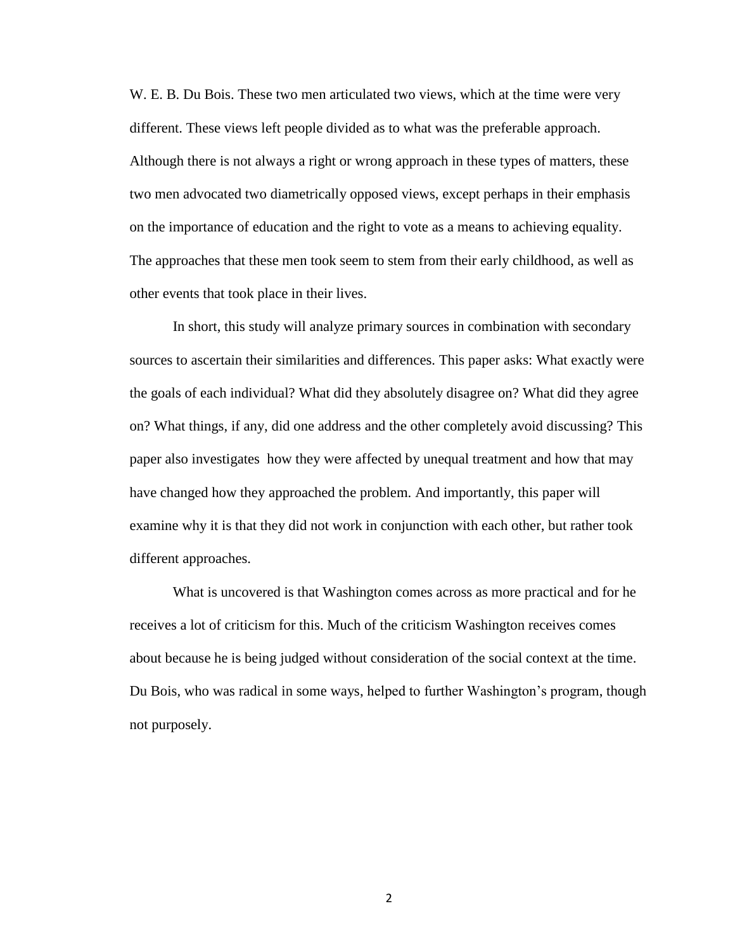W. E. B. Du Bois. These two men articulated two views, which at the time were very different. These views left people divided as to what was the preferable approach. Although there is not always a right or wrong approach in these types of matters, these two men advocated two diametrically opposed views, except perhaps in their emphasis on the importance of education and the right to vote as a means to achieving equality. The approaches that these men took seem to stem from their early childhood, as well as other events that took place in their lives.

In short, this study will analyze primary sources in combination with secondary sources to ascertain their similarities and differences. This paper asks: What exactly were the goals of each individual? What did they absolutely disagree on? What did they agree on? What things, if any, did one address and the other completely avoid discussing? This paper also investigates how they were affected by unequal treatment and how that may have changed how they approached the problem. And importantly, this paper will examine why it is that they did not work in conjunction with each other, but rather took different approaches.

What is uncovered is that Washington comes across as more practical and for he receives a lot of criticism for this. Much of the criticism Washington receives comes about because he is being judged without consideration of the social context at the time. Du Bois, who was radical in some ways, helped to further Washington's program, though not purposely.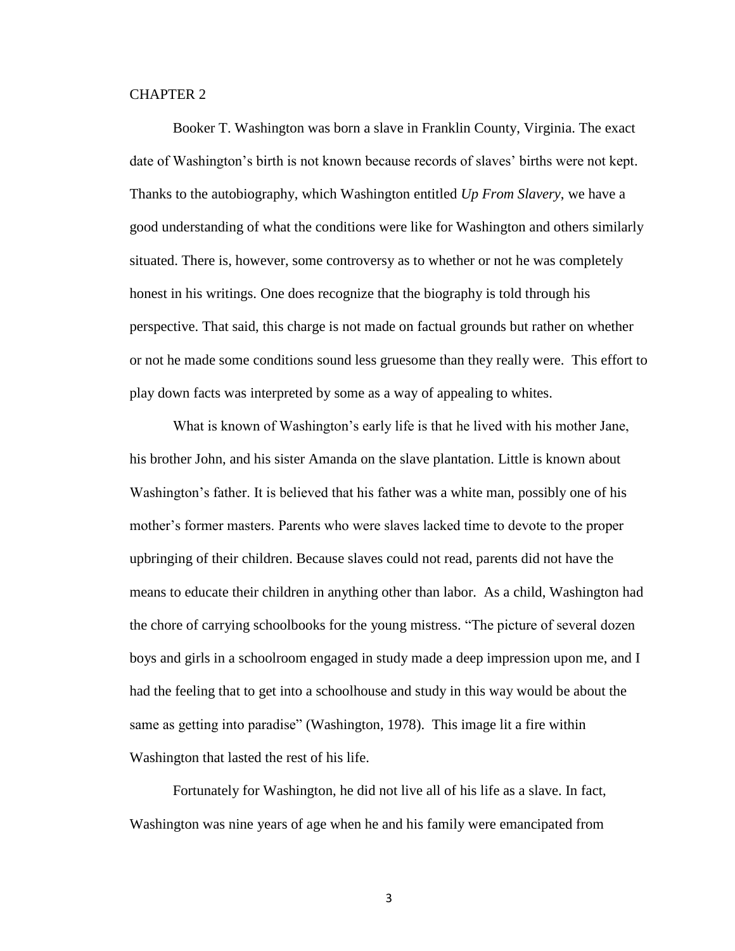#### CHAPTER 2

Booker T. Washington was born a slave in Franklin County, Virginia. The exact date of Washington's birth is not known because records of slaves' births were not kept. Thanks to the autobiography, which Washington entitled *Up From Slavery*, we have a good understanding of what the conditions were like for Washington and others similarly situated. There is, however, some controversy as to whether or not he was completely honest in his writings. One does recognize that the biography is told through his perspective. That said, this charge is not made on factual grounds but rather on whether or not he made some conditions sound less gruesome than they really were. This effort to play down facts was interpreted by some as a way of appealing to whites.

What is known of Washington's early life is that he lived with his mother Jane, his brother John, and his sister Amanda on the slave plantation. Little is known about Washington's father. It is believed that his father was a white man, possibly one of his mother's former masters. Parents who were slaves lacked time to devote to the proper upbringing of their children. Because slaves could not read, parents did not have the means to educate their children in anything other than labor. As a child, Washington had the chore of carrying schoolbooks for the young mistress. "The picture of several dozen boys and girls in a schoolroom engaged in study made a deep impression upon me, and I had the feeling that to get into a schoolhouse and study in this way would be about the same as getting into paradise" (Washington, 1978). This image lit a fire within Washington that lasted the rest of his life.

Fortunately for Washington, he did not live all of his life as a slave. In fact, Washington was nine years of age when he and his family were emancipated from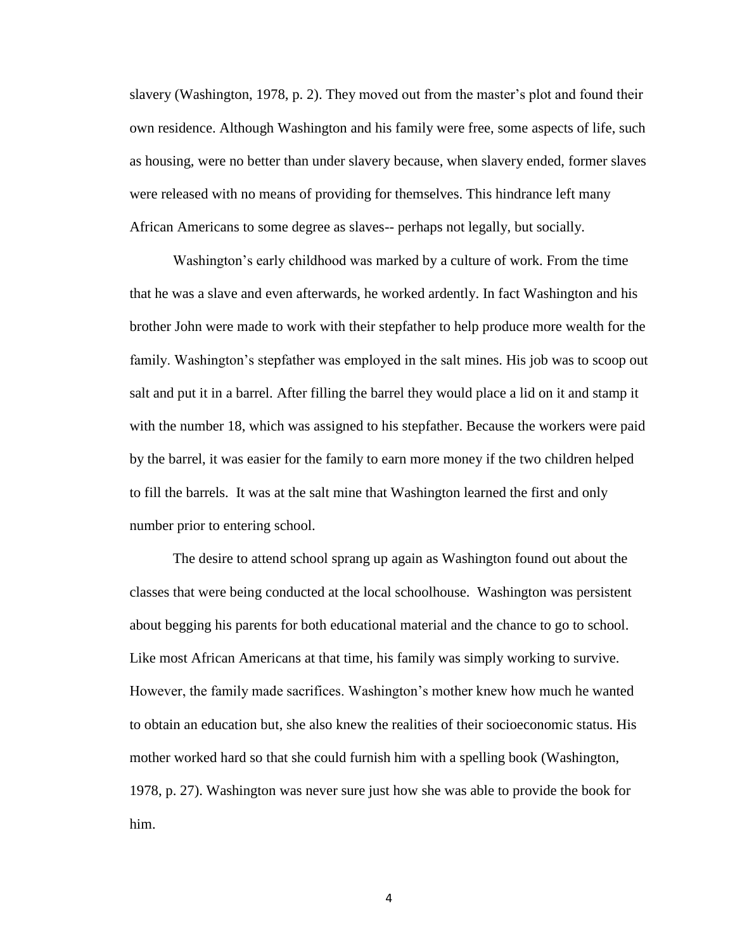slavery (Washington, 1978, p. 2). They moved out from the master's plot and found their own residence. Although Washington and his family were free, some aspects of life, such as housing, were no better than under slavery because, when slavery ended, former slaves were released with no means of providing for themselves. This hindrance left many African Americans to some degree as slaves-- perhaps not legally, but socially.

Washington's early childhood was marked by a culture of work. From the time that he was a slave and even afterwards, he worked ardently. In fact Washington and his brother John were made to work with their stepfather to help produce more wealth for the family. Washington's stepfather was employed in the salt mines. His job was to scoop out salt and put it in a barrel. After filling the barrel they would place a lid on it and stamp it with the number 18, which was assigned to his stepfather. Because the workers were paid by the barrel, it was easier for the family to earn more money if the two children helped to fill the barrels. It was at the salt mine that Washington learned the first and only number prior to entering school.

The desire to attend school sprang up again as Washington found out about the classes that were being conducted at the local schoolhouse. Washington was persistent about begging his parents for both educational material and the chance to go to school. Like most African Americans at that time, his family was simply working to survive. However, the family made sacrifices. Washington's mother knew how much he wanted to obtain an education but, she also knew the realities of their socioeconomic status. His mother worked hard so that she could furnish him with a spelling book (Washington, 1978, p. 27). Washington was never sure just how she was able to provide the book for him.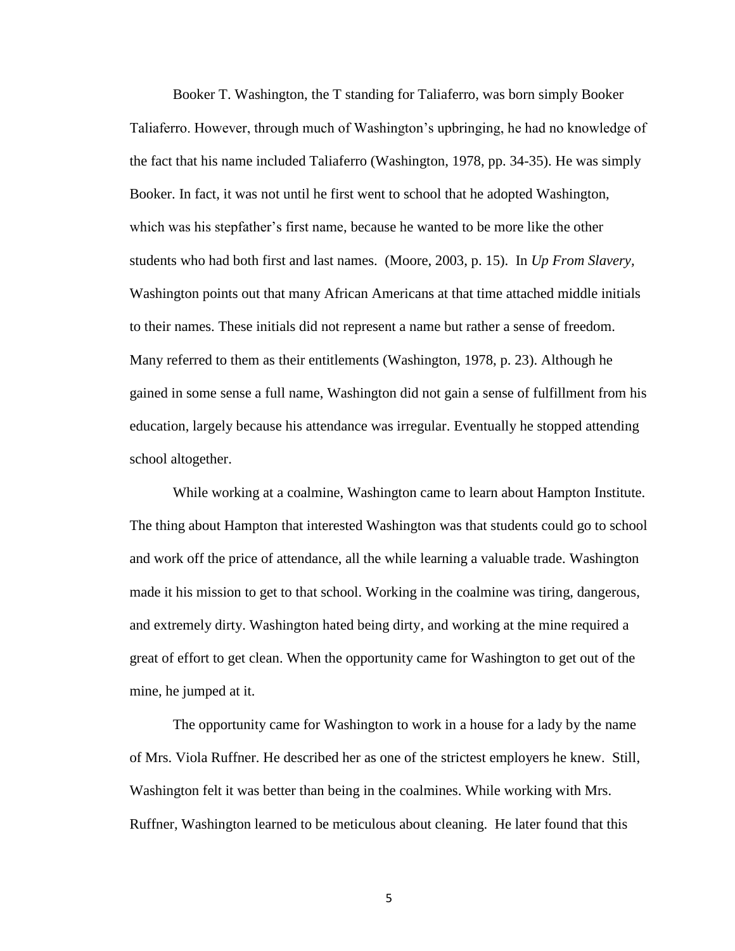Booker T. Washington, the T standing for Taliaferro, was born simply Booker Taliaferro. However, through much of Washington's upbringing, he had no knowledge of the fact that his name included Taliaferro (Washington, 1978, pp. 34-35). He was simply Booker. In fact, it was not until he first went to school that he adopted Washington, which was his stepfather's first name, because he wanted to be more like the other students who had both first and last names. (Moore, 2003, p. 15). In *Up From Slavery,*  Washington points out that many African Americans at that time attached middle initials to their names. These initials did not represent a name but rather a sense of freedom. Many referred to them as their entitlements (Washington, 1978, p. 23). Although he gained in some sense a full name, Washington did not gain a sense of fulfillment from his education, largely because his attendance was irregular. Eventually he stopped attending school altogether.

While working at a coalmine, Washington came to learn about Hampton Institute. The thing about Hampton that interested Washington was that students could go to school and work off the price of attendance, all the while learning a valuable trade. Washington made it his mission to get to that school. Working in the coalmine was tiring, dangerous, and extremely dirty. Washington hated being dirty, and working at the mine required a great of effort to get clean. When the opportunity came for Washington to get out of the mine, he jumped at it.

The opportunity came for Washington to work in a house for a lady by the name of Mrs. Viola Ruffner. He described her as one of the strictest employers he knew. Still, Washington felt it was better than being in the coalmines. While working with Mrs. Ruffner, Washington learned to be meticulous about cleaning. He later found that this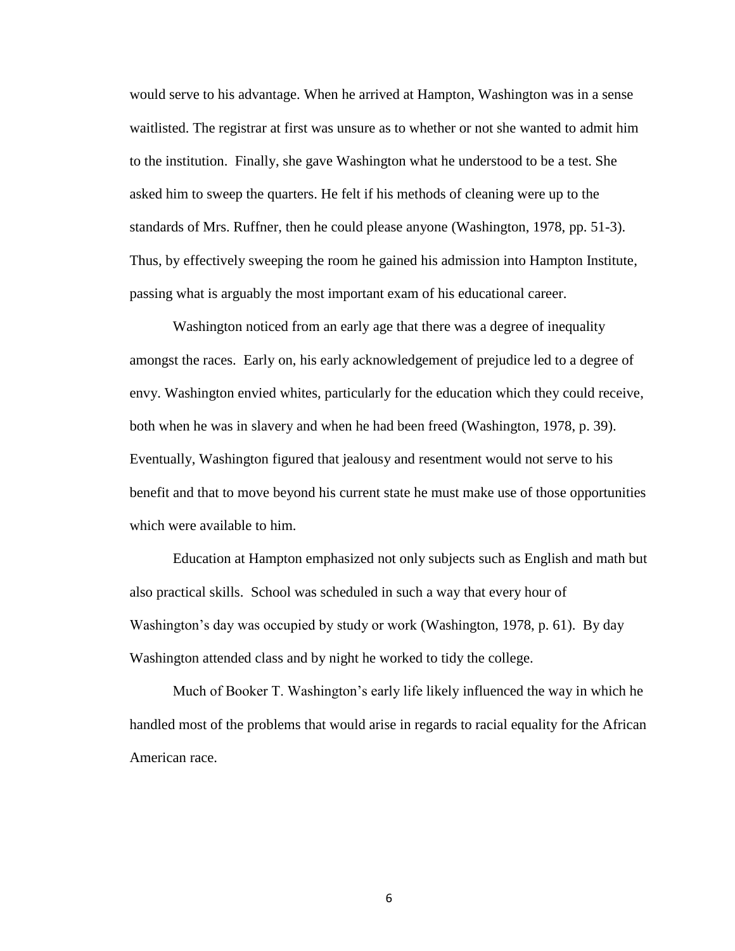would serve to his advantage. When he arrived at Hampton, Washington was in a sense waitlisted. The registrar at first was unsure as to whether or not she wanted to admit him to the institution. Finally, she gave Washington what he understood to be a test. She asked him to sweep the quarters. He felt if his methods of cleaning were up to the standards of Mrs. Ruffner, then he could please anyone (Washington, 1978, pp. 51-3). Thus, by effectively sweeping the room he gained his admission into Hampton Institute, passing what is arguably the most important exam of his educational career.

Washington noticed from an early age that there was a degree of inequality amongst the races. Early on, his early acknowledgement of prejudice led to a degree of envy. Washington envied whites, particularly for the education which they could receive, both when he was in slavery and when he had been freed (Washington, 1978, p. 39). Eventually, Washington figured that jealousy and resentment would not serve to his benefit and that to move beyond his current state he must make use of those opportunities which were available to him.

Education at Hampton emphasized not only subjects such as English and math but also practical skills. School was scheduled in such a way that every hour of Washington's day was occupied by study or work (Washington, 1978, p. 61). By day Washington attended class and by night he worked to tidy the college.

Much of Booker T. Washington's early life likely influenced the way in which he handled most of the problems that would arise in regards to racial equality for the African American race.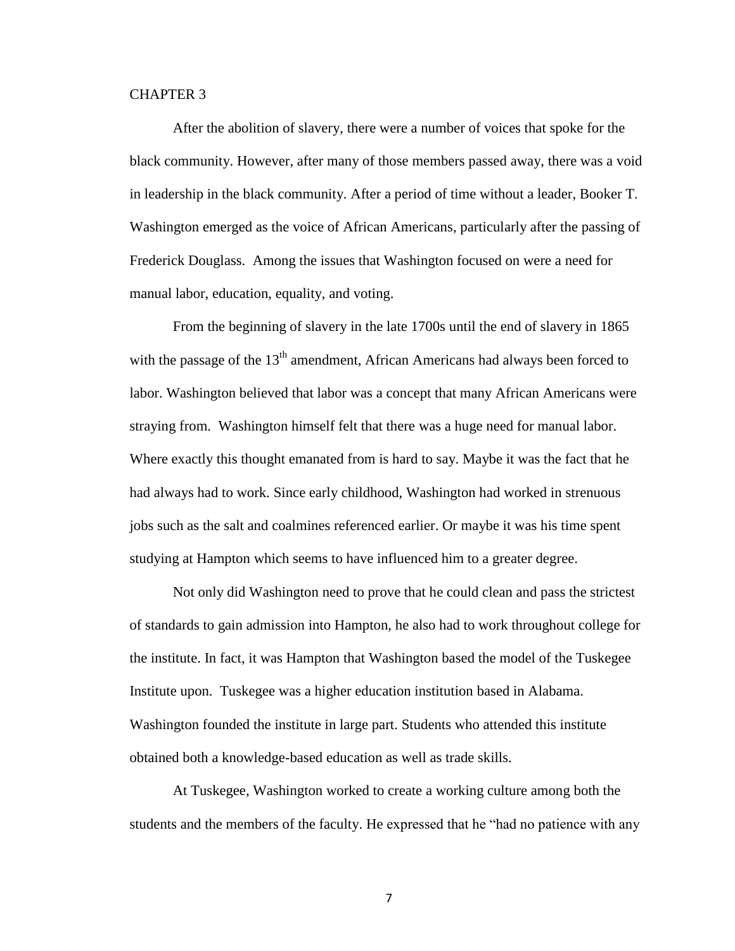### CHAPTER 3

After the abolition of slavery, there were a number of voices that spoke for the black community. However, after many of those members passed away, there was a void in leadership in the black community. After a period of time without a leader, Booker T. Washington emerged as the voice of African Americans, particularly after the passing of Frederick Douglass. Among the issues that Washington focused on were a need for manual labor, education, equality, and voting.

From the beginning of slavery in the late 1700s until the end of slavery in 1865 with the passage of the  $13<sup>th</sup>$  amendment, African Americans had always been forced to labor. Washington believed that labor was a concept that many African Americans were straying from. Washington himself felt that there was a huge need for manual labor. Where exactly this thought emanated from is hard to say. Maybe it was the fact that he had always had to work. Since early childhood, Washington had worked in strenuous jobs such as the salt and coalmines referenced earlier. Or maybe it was his time spent studying at Hampton which seems to have influenced him to a greater degree.

Not only did Washington need to prove that he could clean and pass the strictest of standards to gain admission into Hampton, he also had to work throughout college for the institute. In fact, it was Hampton that Washington based the model of the Tuskegee Institute upon. Tuskegee was a higher education institution based in Alabama. Washington founded the institute in large part. Students who attended this institute obtained both a knowledge-based education as well as trade skills.

At Tuskegee, Washington worked to create a working culture among both the students and the members of the faculty. He expressed that he "had no patience with any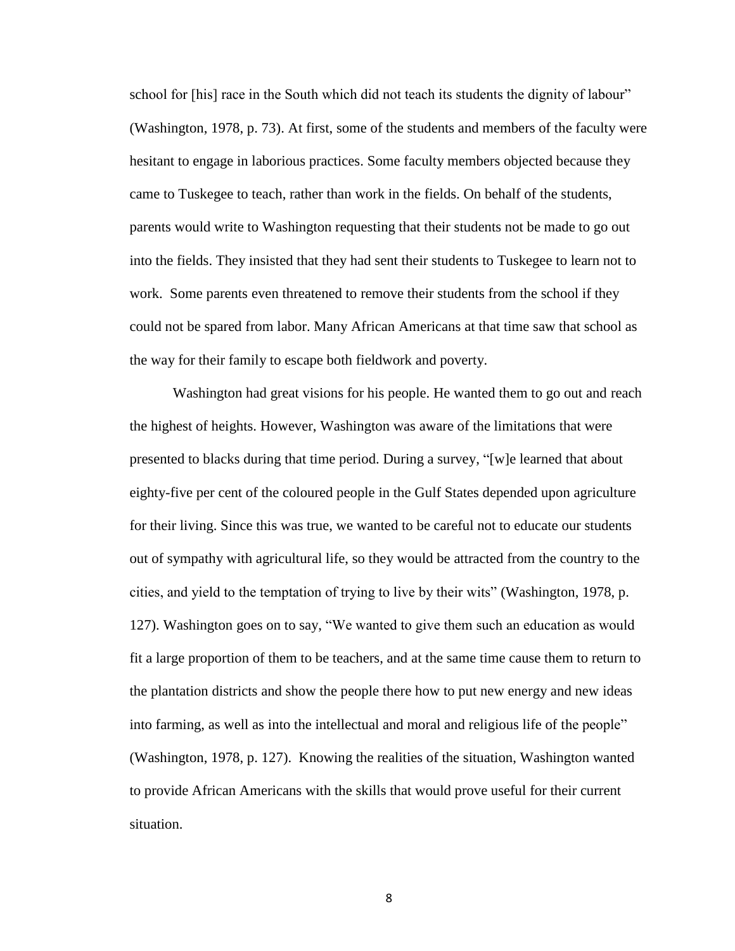school for [his] race in the South which did not teach its students the dignity of labour" (Washington, 1978, p. 73). At first, some of the students and members of the faculty were hesitant to engage in laborious practices. Some faculty members objected because they came to Tuskegee to teach, rather than work in the fields. On behalf of the students, parents would write to Washington requesting that their students not be made to go out into the fields. They insisted that they had sent their students to Tuskegee to learn not to work. Some parents even threatened to remove their students from the school if they could not be spared from labor. Many African Americans at that time saw that school as the way for their family to escape both fieldwork and poverty.

Washington had great visions for his people. He wanted them to go out and reach the highest of heights. However, Washington was aware of the limitations that were presented to blacks during that time period. During a survey, "[w]e learned that about eighty-five per cent of the coloured people in the Gulf States depended upon agriculture for their living. Since this was true, we wanted to be careful not to educate our students out of sympathy with agricultural life, so they would be attracted from the country to the cities, and yield to the temptation of trying to live by their wits" (Washington, 1978, p. 127). Washington goes on to say, "We wanted to give them such an education as would fit a large proportion of them to be teachers, and at the same time cause them to return to the plantation districts and show the people there how to put new energy and new ideas into farming, as well as into the intellectual and moral and religious life of the people" (Washington, 1978, p. 127). Knowing the realities of the situation, Washington wanted to provide African Americans with the skills that would prove useful for their current situation.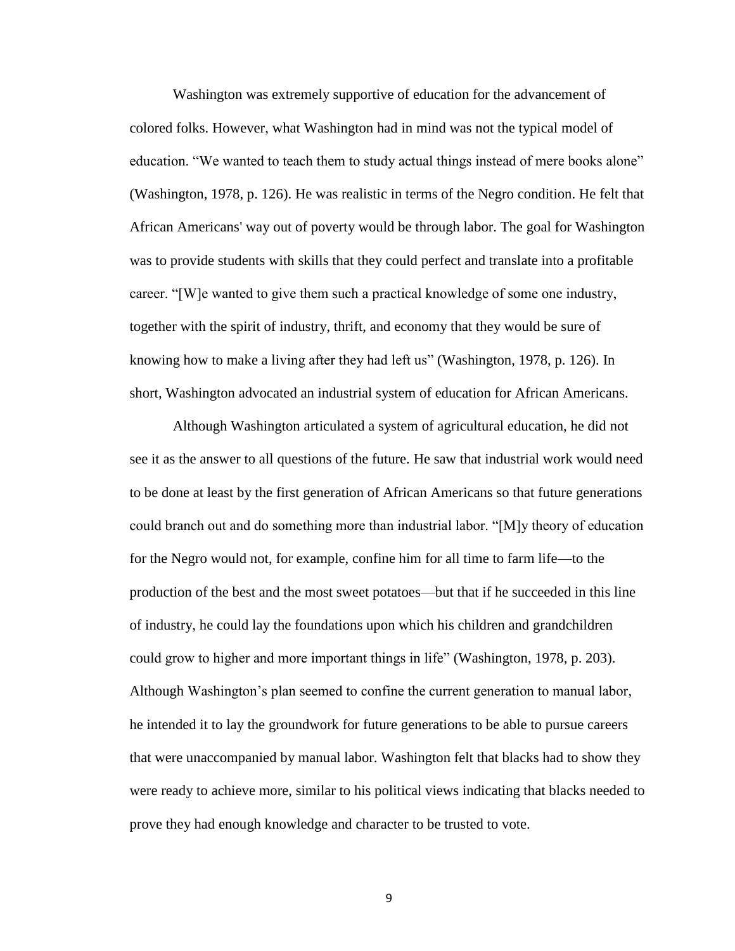Washington was extremely supportive of education for the advancement of colored folks. However, what Washington had in mind was not the typical model of education. "We wanted to teach them to study actual things instead of mere books alone" (Washington, 1978, p. 126). He was realistic in terms of the Negro condition. He felt that African Americans' way out of poverty would be through labor. The goal for Washington was to provide students with skills that they could perfect and translate into a profitable career. "[W]e wanted to give them such a practical knowledge of some one industry, together with the spirit of industry, thrift, and economy that they would be sure of knowing how to make a living after they had left us" (Washington, 1978, p. 126). In short, Washington advocated an industrial system of education for African Americans.

Although Washington articulated a system of agricultural education, he did not see it as the answer to all questions of the future. He saw that industrial work would need to be done at least by the first generation of African Americans so that future generations could branch out and do something more than industrial labor. "[M]y theory of education for the Negro would not, for example, confine him for all time to farm life—to the production of the best and the most sweet potatoes—but that if he succeeded in this line of industry, he could lay the foundations upon which his children and grandchildren could grow to higher and more important things in life" (Washington, 1978, p. 203). Although Washington's plan seemed to confine the current generation to manual labor, he intended it to lay the groundwork for future generations to be able to pursue careers that were unaccompanied by manual labor. Washington felt that blacks had to show they were ready to achieve more, similar to his political views indicating that blacks needed to prove they had enough knowledge and character to be trusted to vote.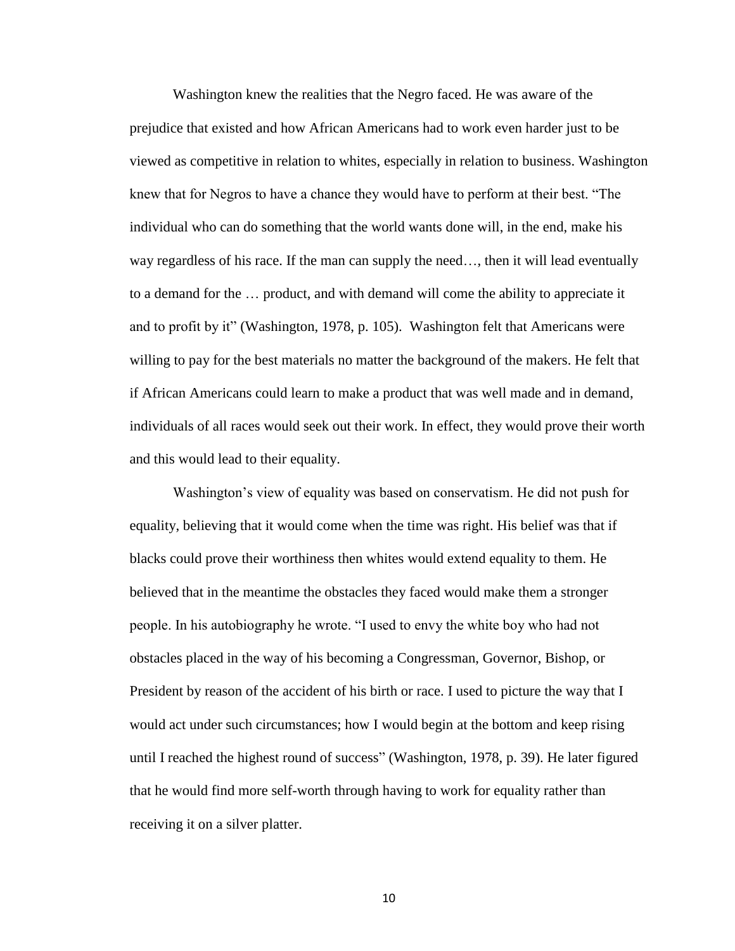Washington knew the realities that the Negro faced. He was aware of the prejudice that existed and how African Americans had to work even harder just to be viewed as competitive in relation to whites, especially in relation to business. Washington knew that for Negros to have a chance they would have to perform at their best. "The individual who can do something that the world wants done will, in the end, make his way regardless of his race. If the man can supply the need..., then it will lead eventually to a demand for the … product, and with demand will come the ability to appreciate it and to profit by it" (Washington, 1978, p. 105). Washington felt that Americans were willing to pay for the best materials no matter the background of the makers. He felt that if African Americans could learn to make a product that was well made and in demand, individuals of all races would seek out their work. In effect, they would prove their worth and this would lead to their equality.

Washington's view of equality was based on conservatism. He did not push for equality, believing that it would come when the time was right. His belief was that if blacks could prove their worthiness then whites would extend equality to them. He believed that in the meantime the obstacles they faced would make them a stronger people. In his autobiography he wrote. "I used to envy the white boy who had not obstacles placed in the way of his becoming a Congressman, Governor, Bishop, or President by reason of the accident of his birth or race. I used to picture the way that I would act under such circumstances; how I would begin at the bottom and keep rising until I reached the highest round of success" (Washington, 1978, p. 39). He later figured that he would find more self-worth through having to work for equality rather than receiving it on a silver platter.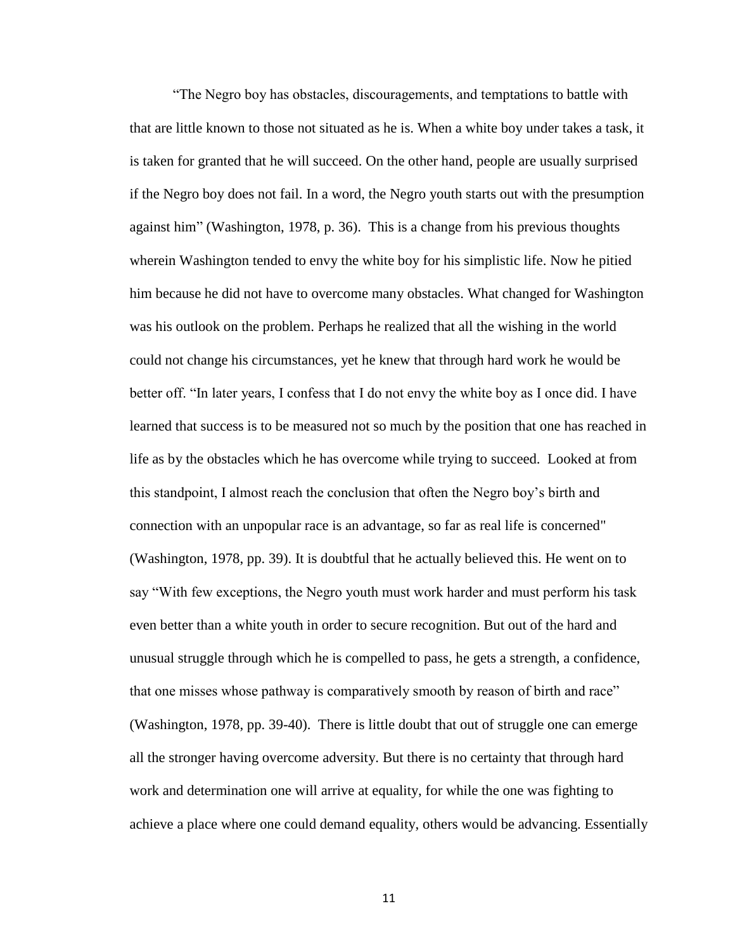"The Negro boy has obstacles, discouragements, and temptations to battle with that are little known to those not situated as he is. When a white boy under takes a task, it is taken for granted that he will succeed. On the other hand, people are usually surprised if the Negro boy does not fail. In a word, the Negro youth starts out with the presumption against him" (Washington, 1978, p. 36). This is a change from his previous thoughts wherein Washington tended to envy the white boy for his simplistic life. Now he pitied him because he did not have to overcome many obstacles. What changed for Washington was his outlook on the problem. Perhaps he realized that all the wishing in the world could not change his circumstances, yet he knew that through hard work he would be better off. "In later years, I confess that I do not envy the white boy as I once did. I have learned that success is to be measured not so much by the position that one has reached in life as by the obstacles which he has overcome while trying to succeed. Looked at from this standpoint, I almost reach the conclusion that often the Negro boy's birth and connection with an unpopular race is an advantage, so far as real life is concerned" (Washington, 1978, pp. 39). It is doubtful that he actually believed this. He went on to say "With few exceptions, the Negro youth must work harder and must perform his task even better than a white youth in order to secure recognition. But out of the hard and unusual struggle through which he is compelled to pass, he gets a strength, a confidence, that one misses whose pathway is comparatively smooth by reason of birth and race" (Washington, 1978, pp. 39-40). There is little doubt that out of struggle one can emerge all the stronger having overcome adversity. But there is no certainty that through hard work and determination one will arrive at equality, for while the one was fighting to achieve a place where one could demand equality, others would be advancing. Essentially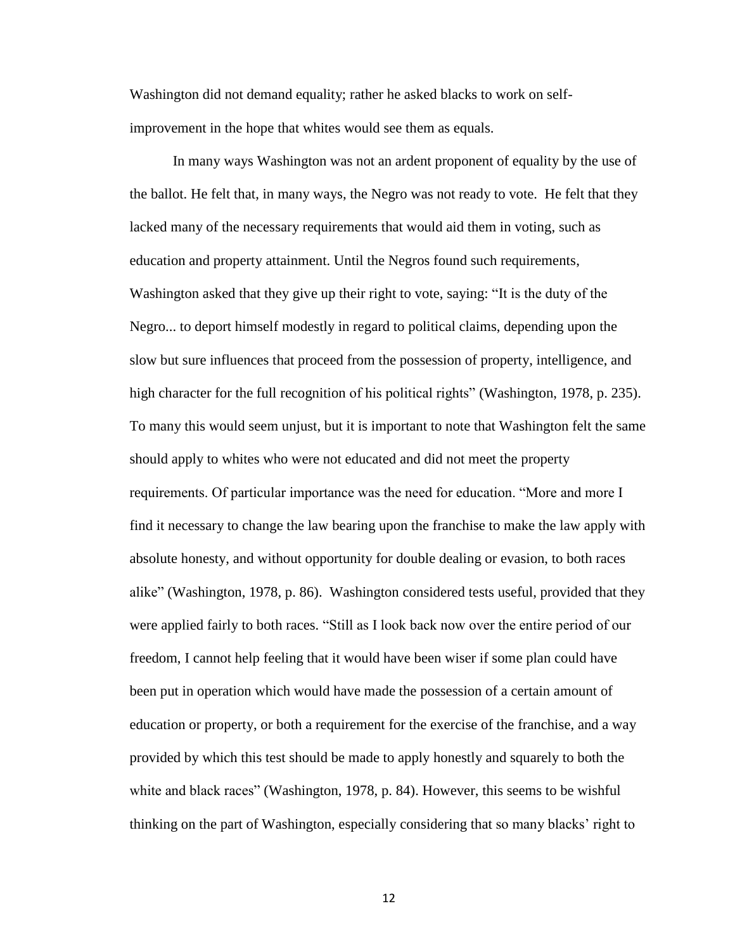Washington did not demand equality; rather he asked blacks to work on selfimprovement in the hope that whites would see them as equals.

In many ways Washington was not an ardent proponent of equality by the use of the ballot. He felt that, in many ways, the Negro was not ready to vote. He felt that they lacked many of the necessary requirements that would aid them in voting, such as education and property attainment. Until the Negros found such requirements, Washington asked that they give up their right to vote, saying: "It is the duty of the Negro... to deport himself modestly in regard to political claims, depending upon the slow but sure influences that proceed from the possession of property, intelligence, and high character for the full recognition of his political rights" (Washington, 1978, p. 235). To many this would seem unjust, but it is important to note that Washington felt the same should apply to whites who were not educated and did not meet the property requirements. Of particular importance was the need for education. "More and more I find it necessary to change the law bearing upon the franchise to make the law apply with absolute honesty, and without opportunity for double dealing or evasion, to both races alike" (Washington, 1978, p. 86). Washington considered tests useful, provided that they were applied fairly to both races. "Still as I look back now over the entire period of our freedom, I cannot help feeling that it would have been wiser if some plan could have been put in operation which would have made the possession of a certain amount of education or property, or both a requirement for the exercise of the franchise, and a way provided by which this test should be made to apply honestly and squarely to both the white and black races" (Washington, 1978, p. 84). However, this seems to be wishful thinking on the part of Washington, especially considering that so many blacks' right to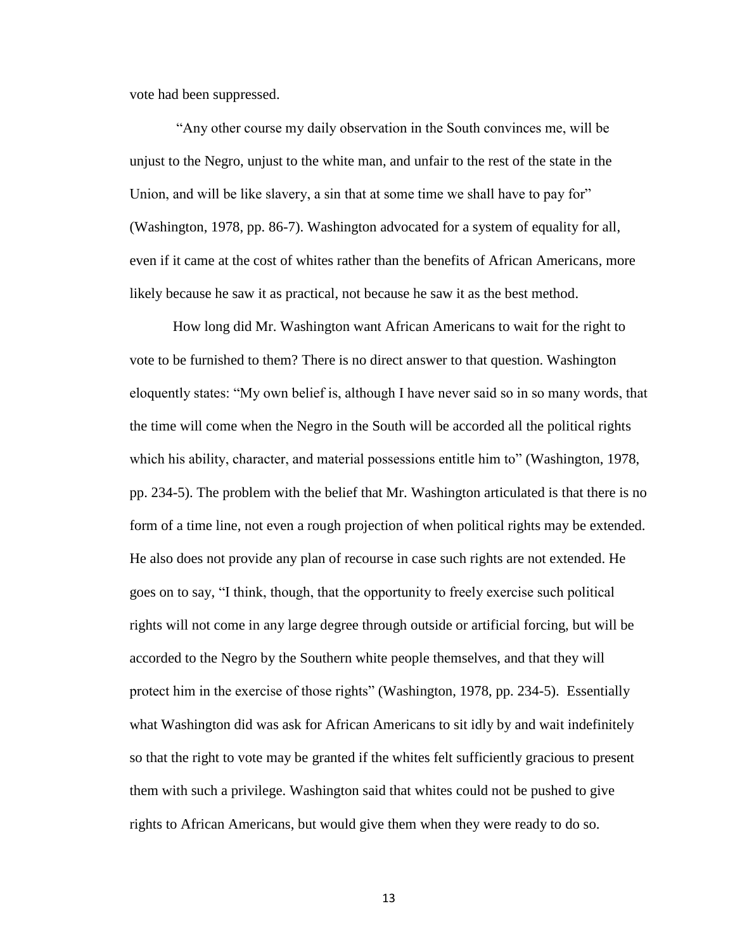vote had been suppressed.

"Any other course my daily observation in the South convinces me, will be unjust to the Negro, unjust to the white man, and unfair to the rest of the state in the Union, and will be like slavery, a sin that at some time we shall have to pay for" (Washington, 1978, pp. 86-7). Washington advocated for a system of equality for all, even if it came at the cost of whites rather than the benefits of African Americans, more likely because he saw it as practical, not because he saw it as the best method.

How long did Mr. Washington want African Americans to wait for the right to vote to be furnished to them? There is no direct answer to that question. Washington eloquently states: "My own belief is, although I have never said so in so many words, that the time will come when the Negro in the South will be accorded all the political rights which his ability, character, and material possessions entitle him to" (Washington, 1978, pp. 234-5). The problem with the belief that Mr. Washington articulated is that there is no form of a time line, not even a rough projection of when political rights may be extended. He also does not provide any plan of recourse in case such rights are not extended. He goes on to say, "I think, though, that the opportunity to freely exercise such political rights will not come in any large degree through outside or artificial forcing, but will be accorded to the Negro by the Southern white people themselves, and that they will protect him in the exercise of those rights" (Washington, 1978, pp. 234-5). Essentially what Washington did was ask for African Americans to sit idly by and wait indefinitely so that the right to vote may be granted if the whites felt sufficiently gracious to present them with such a privilege. Washington said that whites could not be pushed to give rights to African Americans, but would give them when they were ready to do so.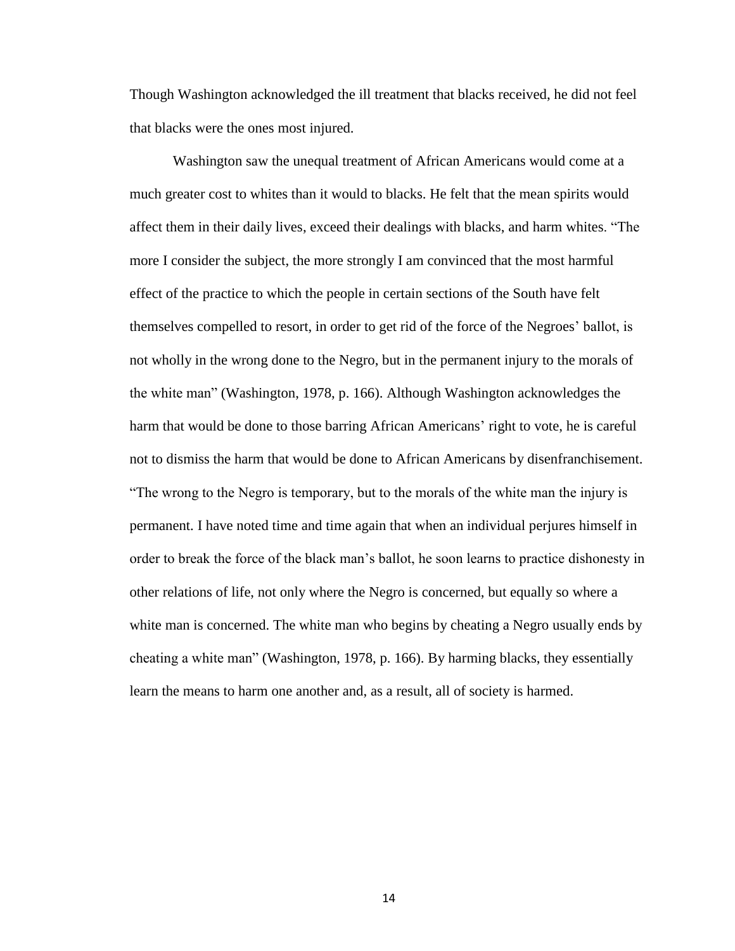Though Washington acknowledged the ill treatment that blacks received, he did not feel that blacks were the ones most injured.

Washington saw the unequal treatment of African Americans would come at a much greater cost to whites than it would to blacks. He felt that the mean spirits would affect them in their daily lives, exceed their dealings with blacks, and harm whites. "The more I consider the subject, the more strongly I am convinced that the most harmful effect of the practice to which the people in certain sections of the South have felt themselves compelled to resort, in order to get rid of the force of the Negroes' ballot, is not wholly in the wrong done to the Negro, but in the permanent injury to the morals of the white man" (Washington, 1978, p. 166). Although Washington acknowledges the harm that would be done to those barring African Americans' right to vote, he is careful not to dismiss the harm that would be done to African Americans by disenfranchisement. "The wrong to the Negro is temporary, but to the morals of the white man the injury is permanent. I have noted time and time again that when an individual perjures himself in order to break the force of the black man's ballot, he soon learns to practice dishonesty in other relations of life, not only where the Negro is concerned, but equally so where a white man is concerned. The white man who begins by cheating a Negro usually ends by cheating a white man" (Washington, 1978, p. 166). By harming blacks, they essentially learn the means to harm one another and, as a result, all of society is harmed.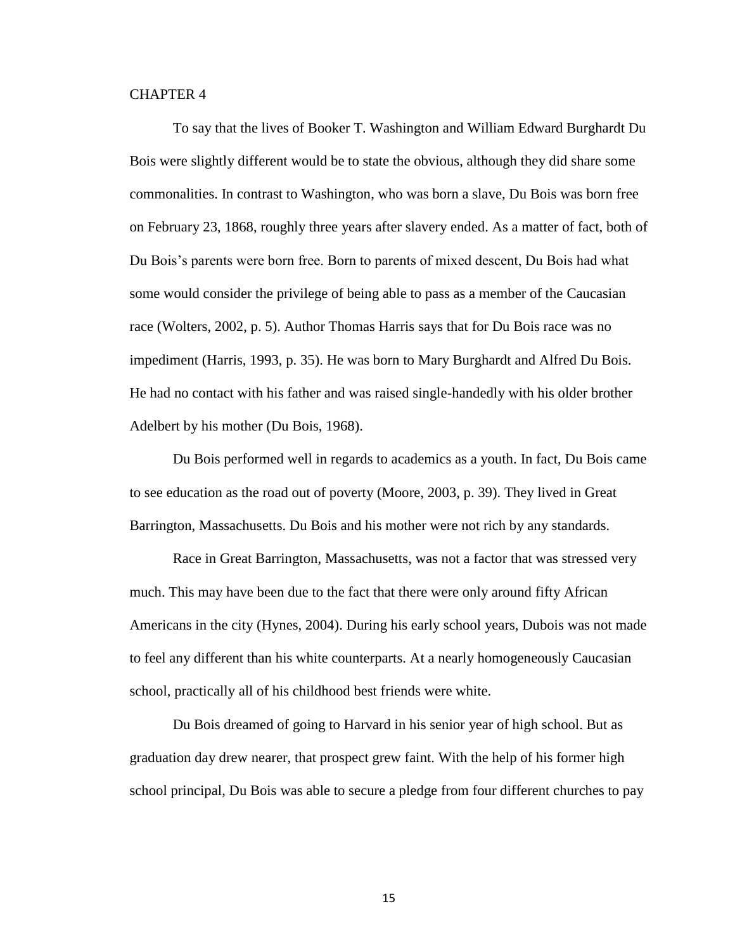### CHAPTER 4

To say that the lives of Booker T. Washington and William Edward Burghardt Du Bois were slightly different would be to state the obvious, although they did share some commonalities. In contrast to Washington, who was born a slave, Du Bois was born free on February 23, 1868, roughly three years after slavery ended. As a matter of fact, both of Du Bois's parents were born free. Born to parents of mixed descent, Du Bois had what some would consider the privilege of being able to pass as a member of the Caucasian race (Wolters, 2002, p. 5). Author Thomas Harris says that for Du Bois race was no impediment (Harris, 1993, p. 35). He was born to Mary Burghardt and Alfred Du Bois. He had no contact with his father and was raised single-handedly with his older brother Adelbert by his mother (Du Bois, 1968).

Du Bois performed well in regards to academics as a youth. In fact, Du Bois came to see education as the road out of poverty (Moore, 2003, p. 39). They lived in Great Barrington, Massachusetts. Du Bois and his mother were not rich by any standards.

Race in Great Barrington, Massachusetts, was not a factor that was stressed very much. This may have been due to the fact that there were only around fifty African Americans in the city (Hynes, 2004). During his early school years, Dubois was not made to feel any different than his white counterparts. At a nearly homogeneously Caucasian school, practically all of his childhood best friends were white.

Du Bois dreamed of going to Harvard in his senior year of high school. But as graduation day drew nearer, that prospect grew faint. With the help of his former high school principal, Du Bois was able to secure a pledge from four different churches to pay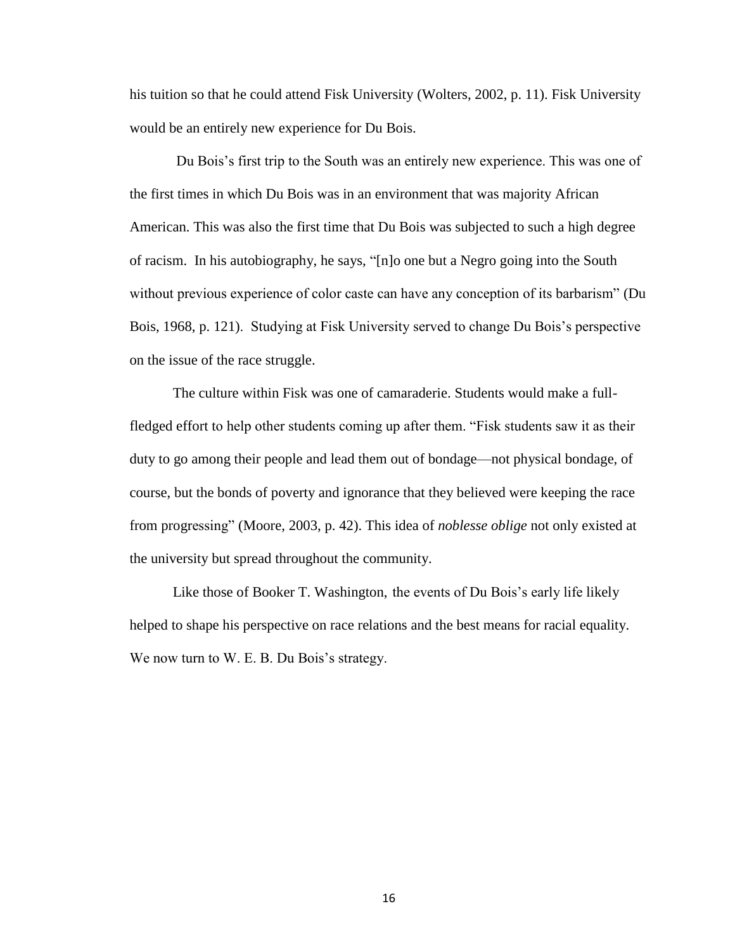his tuition so that he could attend Fisk University (Wolters, 2002, p. 11). Fisk University would be an entirely new experience for Du Bois.

Du Bois's first trip to the South was an entirely new experience. This was one of the first times in which Du Bois was in an environment that was majority African American. This was also the first time that Du Bois was subjected to such a high degree of racism. In his autobiography, he says, "[n]o one but a Negro going into the South without previous experience of color caste can have any conception of its barbarism" (Du Bois, 1968, p. 121). Studying at Fisk University served to change Du Bois's perspective on the issue of the race struggle.

The culture within Fisk was one of camaraderie. Students would make a fullfledged effort to help other students coming up after them. "Fisk students saw it as their duty to go among their people and lead them out of bondage—not physical bondage, of course, but the bonds of poverty and ignorance that they believed were keeping the race from progressing" (Moore, 2003, p. 42). This idea of *noblesse oblige* not only existed at the university but spread throughout the community.

Like those of Booker T. Washington, the events of Du Bois's early life likely helped to shape his perspective on race relations and the best means for racial equality. We now turn to W. E. B. Du Bois's strategy.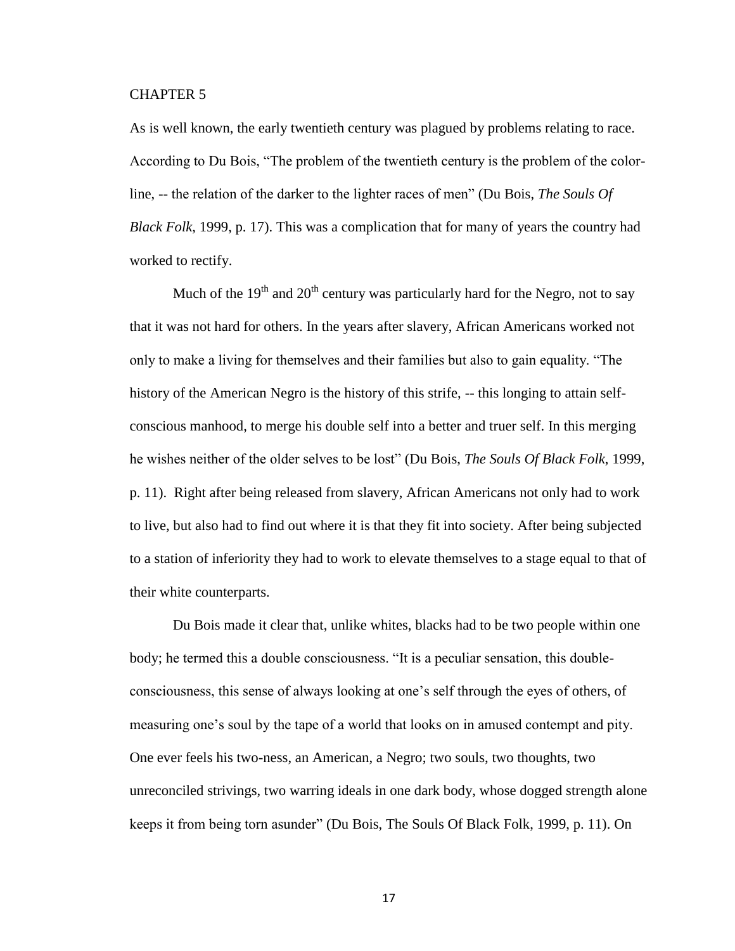### CHAPTER 5

As is well known, the early twentieth century was plagued by problems relating to race. According to Du Bois, "The problem of the twentieth century is the problem of the colorline, -- the relation of the darker to the lighter races of men" (Du Bois, *The Souls Of Black Folk*, 1999, p. 17). This was a complication that for many of years the country had worked to rectify.

Much of the  $19<sup>th</sup>$  and  $20<sup>th</sup>$  century was particularly hard for the Negro, not to say that it was not hard for others. In the years after slavery, African Americans worked not only to make a living for themselves and their families but also to gain equality. "The history of the American Negro is the history of this strife, -- this longing to attain selfconscious manhood, to merge his double self into a better and truer self. In this merging he wishes neither of the older selves to be lost" (Du Bois, *The Souls Of Black Folk*, 1999, p. 11). Right after being released from slavery, African Americans not only had to work to live, but also had to find out where it is that they fit into society. After being subjected to a station of inferiority they had to work to elevate themselves to a stage equal to that of their white counterparts.

Du Bois made it clear that, unlike whites, blacks had to be two people within one body; he termed this a double consciousness. "It is a peculiar sensation, this doubleconsciousness, this sense of always looking at one's self through the eyes of others, of measuring one's soul by the tape of a world that looks on in amused contempt and pity. One ever feels his two-ness, an American, a Negro; two souls, two thoughts, two unreconciled strivings, two warring ideals in one dark body, whose dogged strength alone keeps it from being torn asunder" (Du Bois, The Souls Of Black Folk, 1999, p. 11). On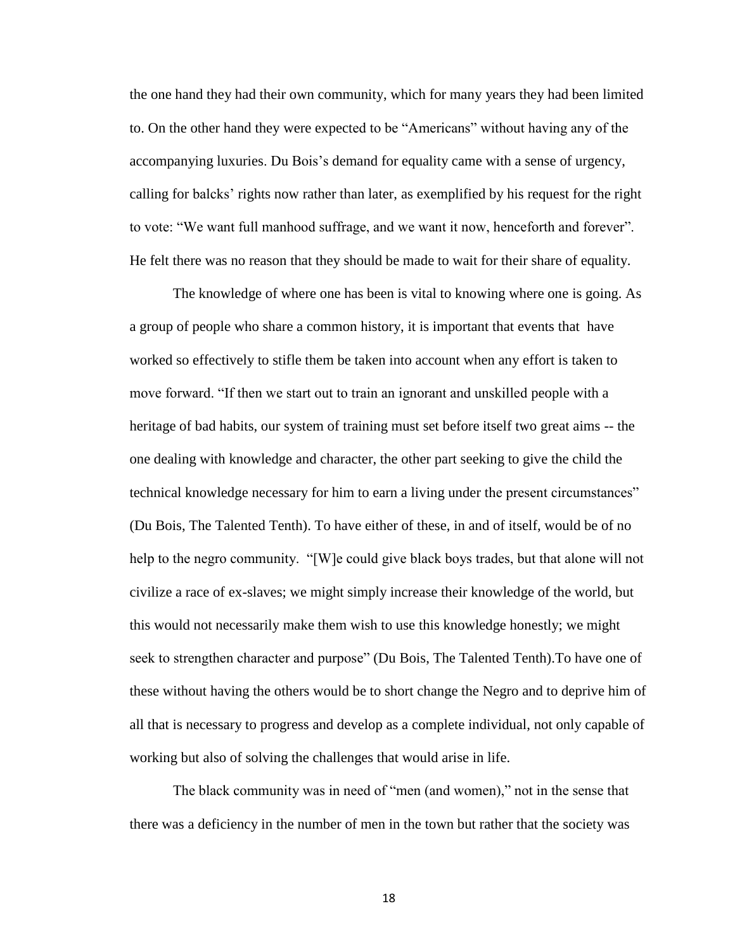the one hand they had their own community, which for many years they had been limited to. On the other hand they were expected to be "Americans" without having any of the accompanying luxuries. Du Bois's demand for equality came with a sense of urgency, calling for balcks' rights now rather than later, as exemplified by his request for the right to vote: "We want full manhood suffrage, and we want it now, henceforth and forever". He felt there was no reason that they should be made to wait for their share of equality.

The knowledge of where one has been is vital to knowing where one is going. As a group of people who share a common history, it is important that events that have worked so effectively to stifle them be taken into account when any effort is taken to move forward. "If then we start out to train an ignorant and unskilled people with a heritage of bad habits, our system of training must set before itself two great aims -- the one dealing with knowledge and character, the other part seeking to give the child the technical knowledge necessary for him to earn a living under the present circumstances" (Du Bois, The Talented Tenth). To have either of these, in and of itself, would be of no help to the negro community. "[W]e could give black boys trades, but that alone will not civilize a race of ex-slaves; we might simply increase their knowledge of the world, but this would not necessarily make them wish to use this knowledge honestly; we might seek to strengthen character and purpose" (Du Bois, The Talented Tenth).To have one of these without having the others would be to short change the Negro and to deprive him of all that is necessary to progress and develop as a complete individual, not only capable of working but also of solving the challenges that would arise in life.

The black community was in need of "men (and women)," not in the sense that there was a deficiency in the number of men in the town but rather that the society was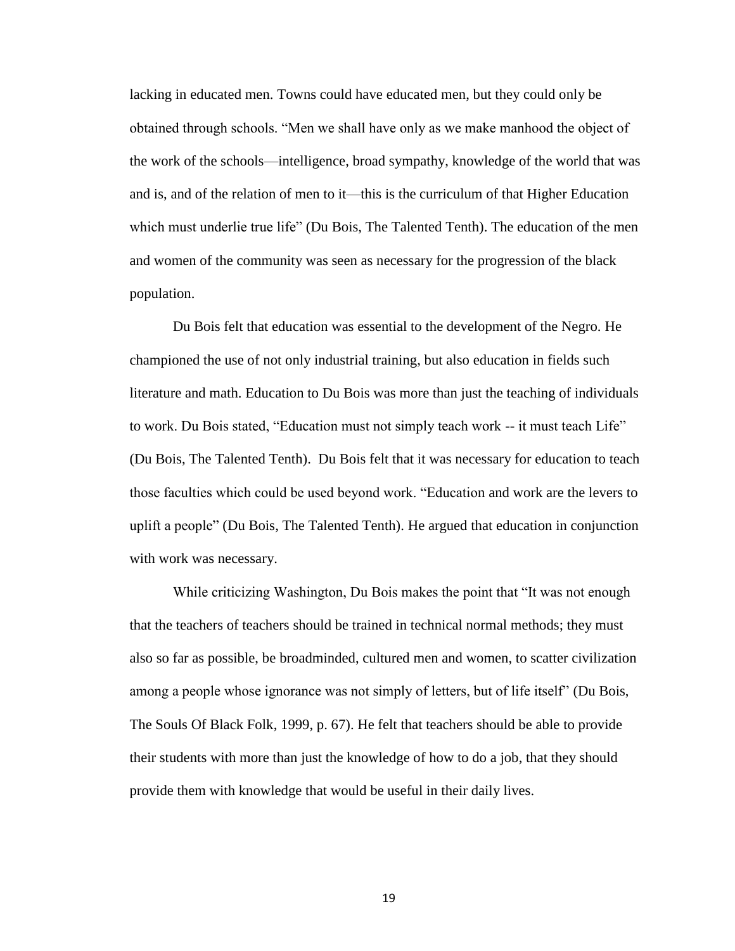lacking in educated men. Towns could have educated men, but they could only be obtained through schools. "Men we shall have only as we make manhood the object of the work of the schools—intelligence, broad sympathy, knowledge of the world that was and is, and of the relation of men to it—this is the curriculum of that Higher Education which must underlie true life" (Du Bois, The Talented Tenth). The education of the men and women of the community was seen as necessary for the progression of the black population.

Du Bois felt that education was essential to the development of the Negro. He championed the use of not only industrial training, but also education in fields such literature and math. Education to Du Bois was more than just the teaching of individuals to work. Du Bois stated, "Education must not simply teach work -- it must teach Life" (Du Bois, The Talented Tenth). Du Bois felt that it was necessary for education to teach those faculties which could be used beyond work. "Education and work are the levers to uplift a people" (Du Bois, The Talented Tenth). He argued that education in conjunction with work was necessary.

While criticizing Washington, Du Bois makes the point that "It was not enough that the teachers of teachers should be trained in technical normal methods; they must also so far as possible, be broadminded, cultured men and women, to scatter civilization among a people whose ignorance was not simply of letters, but of life itself" (Du Bois, The Souls Of Black Folk, 1999, p. 67). He felt that teachers should be able to provide their students with more than just the knowledge of how to do a job, that they should provide them with knowledge that would be useful in their daily lives.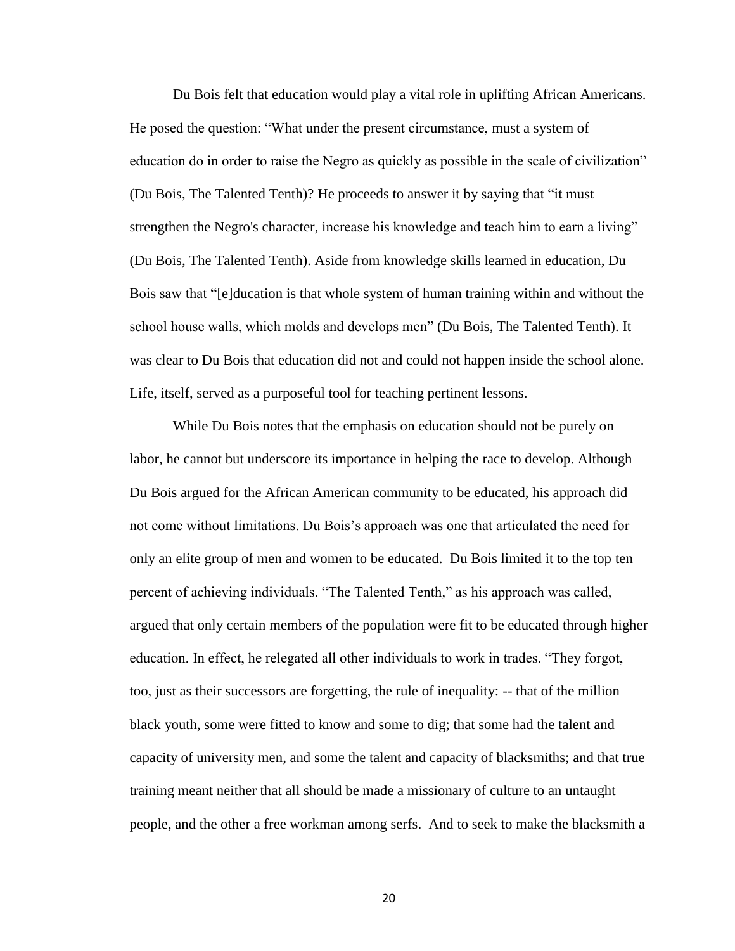Du Bois felt that education would play a vital role in uplifting African Americans. He posed the question: "What under the present circumstance, must a system of education do in order to raise the Negro as quickly as possible in the scale of civilization" (Du Bois, The Talented Tenth)? He proceeds to answer it by saying that "it must strengthen the Negro's character, increase his knowledge and teach him to earn a living" (Du Bois, The Talented Tenth). Aside from knowledge skills learned in education, Du Bois saw that "[e]ducation is that whole system of human training within and without the school house walls, which molds and develops men" (Du Bois, The Talented Tenth). It was clear to Du Bois that education did not and could not happen inside the school alone. Life, itself, served as a purposeful tool for teaching pertinent lessons.

While Du Bois notes that the emphasis on education should not be purely on labor, he cannot but underscore its importance in helping the race to develop. Although Du Bois argued for the African American community to be educated, his approach did not come without limitations. Du Bois's approach was one that articulated the need for only an elite group of men and women to be educated. Du Bois limited it to the top ten percent of achieving individuals. "The Talented Tenth," as his approach was called, argued that only certain members of the population were fit to be educated through higher education. In effect, he relegated all other individuals to work in trades. "They forgot, too, just as their successors are forgetting, the rule of inequality: -- that of the million black youth, some were fitted to know and some to dig; that some had the talent and capacity of university men, and some the talent and capacity of blacksmiths; and that true training meant neither that all should be made a missionary of culture to an untaught people, and the other a free workman among serfs. And to seek to make the blacksmith a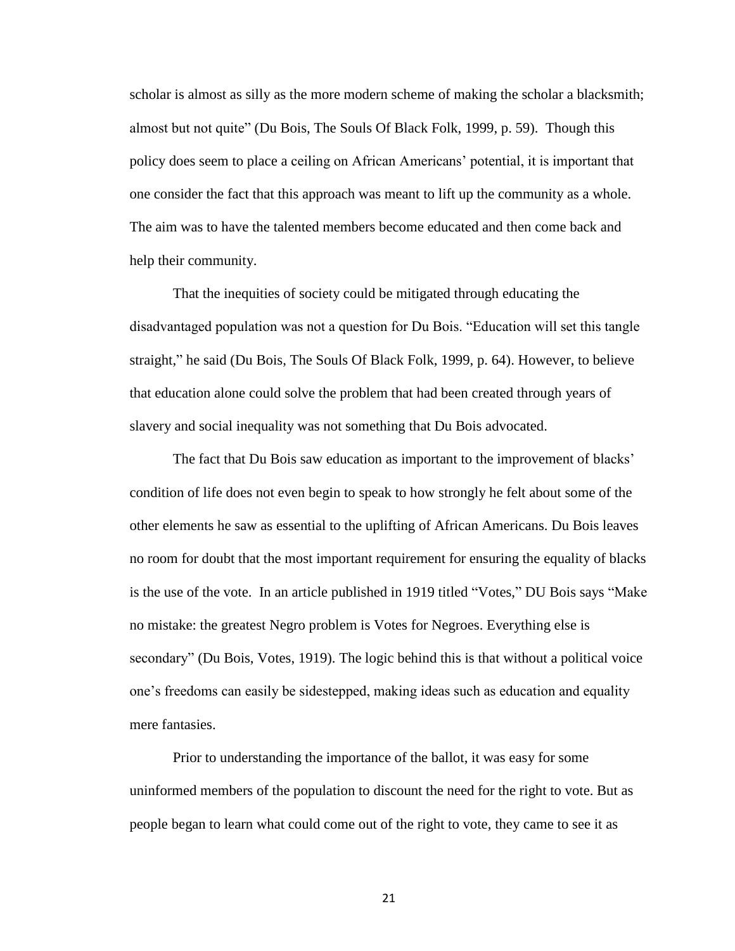scholar is almost as silly as the more modern scheme of making the scholar a blacksmith; almost but not quite" (Du Bois, The Souls Of Black Folk, 1999, p. 59). Though this policy does seem to place a ceiling on African Americans' potential, it is important that one consider the fact that this approach was meant to lift up the community as a whole. The aim was to have the talented members become educated and then come back and help their community.

That the inequities of society could be mitigated through educating the disadvantaged population was not a question for Du Bois. "Education will set this tangle straight," he said (Du Bois, The Souls Of Black Folk, 1999, p. 64). However, to believe that education alone could solve the problem that had been created through years of slavery and social inequality was not something that Du Bois advocated.

The fact that Du Bois saw education as important to the improvement of blacks' condition of life does not even begin to speak to how strongly he felt about some of the other elements he saw as essential to the uplifting of African Americans. Du Bois leaves no room for doubt that the most important requirement for ensuring the equality of blacks is the use of the vote. In an article published in 1919 titled "Votes," DU Bois says "Make no mistake: the greatest Negro problem is Votes for Negroes. Everything else is secondary" (Du Bois, Votes, 1919). The logic behind this is that without a political voice one's freedoms can easily be sidestepped, making ideas such as education and equality mere fantasies.

Prior to understanding the importance of the ballot, it was easy for some uninformed members of the population to discount the need for the right to vote. But as people began to learn what could come out of the right to vote, they came to see it as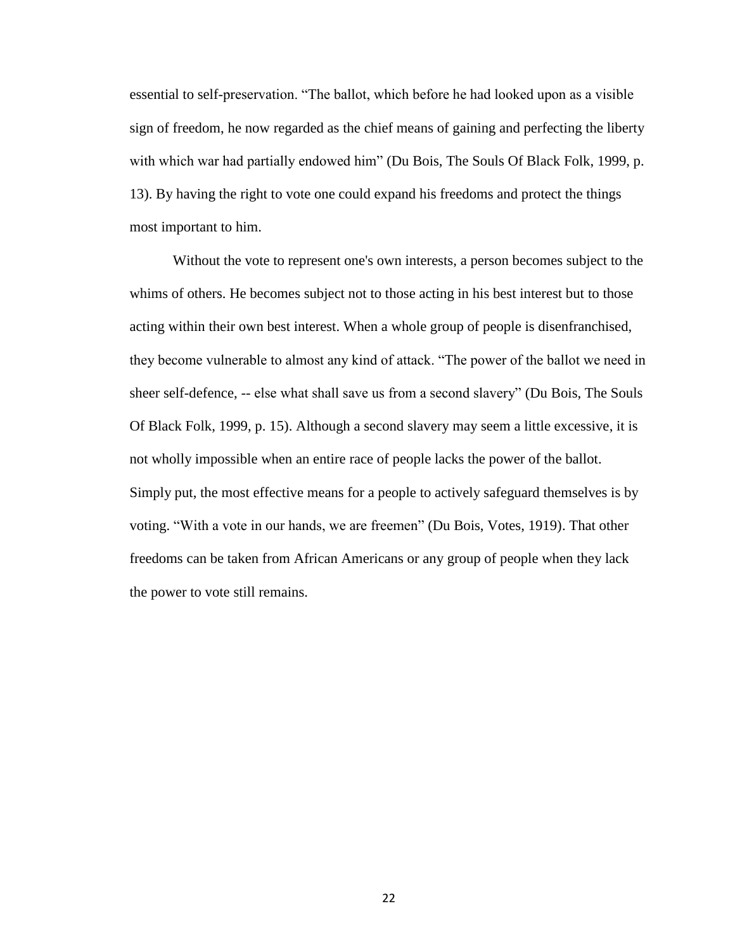essential to self-preservation. "The ballot, which before he had looked upon as a visible sign of freedom, he now regarded as the chief means of gaining and perfecting the liberty with which war had partially endowed him" (Du Bois, The Souls Of Black Folk, 1999, p. 13). By having the right to vote one could expand his freedoms and protect the things most important to him.

Without the vote to represent one's own interests, a person becomes subject to the whims of others. He becomes subject not to those acting in his best interest but to those acting within their own best interest. When a whole group of people is disenfranchised, they become vulnerable to almost any kind of attack. "The power of the ballot we need in sheer self-defence, -- else what shall save us from a second slavery" (Du Bois, The Souls Of Black Folk, 1999, p. 15). Although a second slavery may seem a little excessive, it is not wholly impossible when an entire race of people lacks the power of the ballot. Simply put, the most effective means for a people to actively safeguard themselves is by voting. "With a vote in our hands, we are freemen" (Du Bois, Votes, 1919). That other freedoms can be taken from African Americans or any group of people when they lack the power to vote still remains.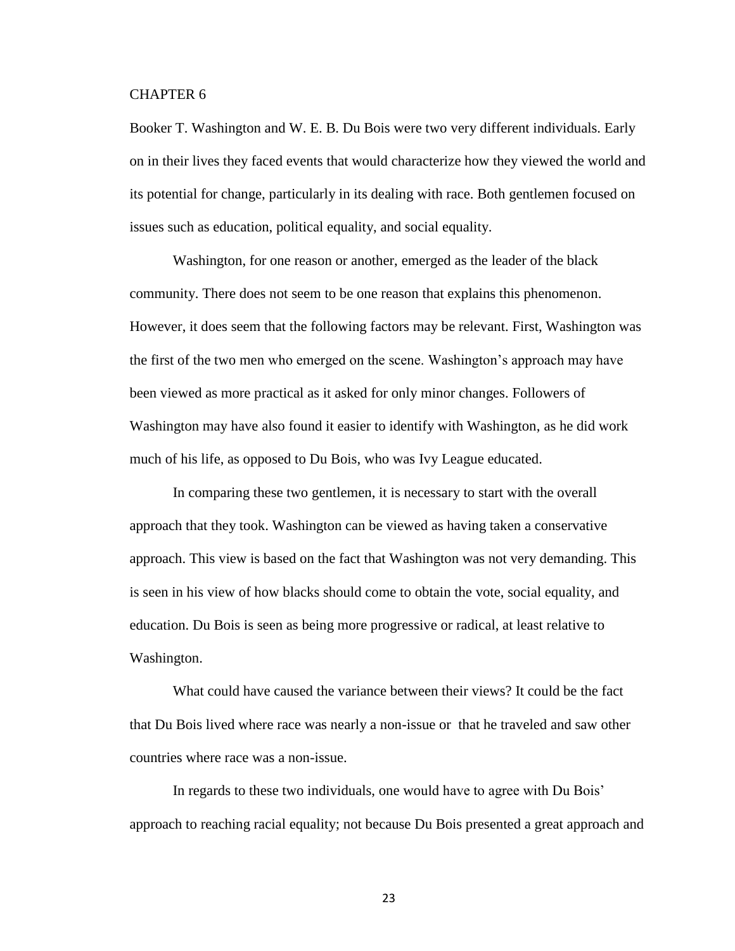#### CHAPTER 6

Booker T. Washington and W. E. B. Du Bois were two very different individuals. Early on in their lives they faced events that would characterize how they viewed the world and its potential for change, particularly in its dealing with race. Both gentlemen focused on issues such as education, political equality, and social equality.

Washington, for one reason or another, emerged as the leader of the black community. There does not seem to be one reason that explains this phenomenon. However, it does seem that the following factors may be relevant. First, Washington was the first of the two men who emerged on the scene. Washington's approach may have been viewed as more practical as it asked for only minor changes. Followers of Washington may have also found it easier to identify with Washington, as he did work much of his life, as opposed to Du Bois, who was Ivy League educated.

In comparing these two gentlemen, it is necessary to start with the overall approach that they took. Washington can be viewed as having taken a conservative approach. This view is based on the fact that Washington was not very demanding. This is seen in his view of how blacks should come to obtain the vote, social equality, and education. Du Bois is seen as being more progressive or radical, at least relative to Washington.

What could have caused the variance between their views? It could be the fact that Du Bois lived where race was nearly a non-issue or that he traveled and saw other countries where race was a non-issue.

In regards to these two individuals, one would have to agree with Du Bois' approach to reaching racial equality; not because Du Bois presented a great approach and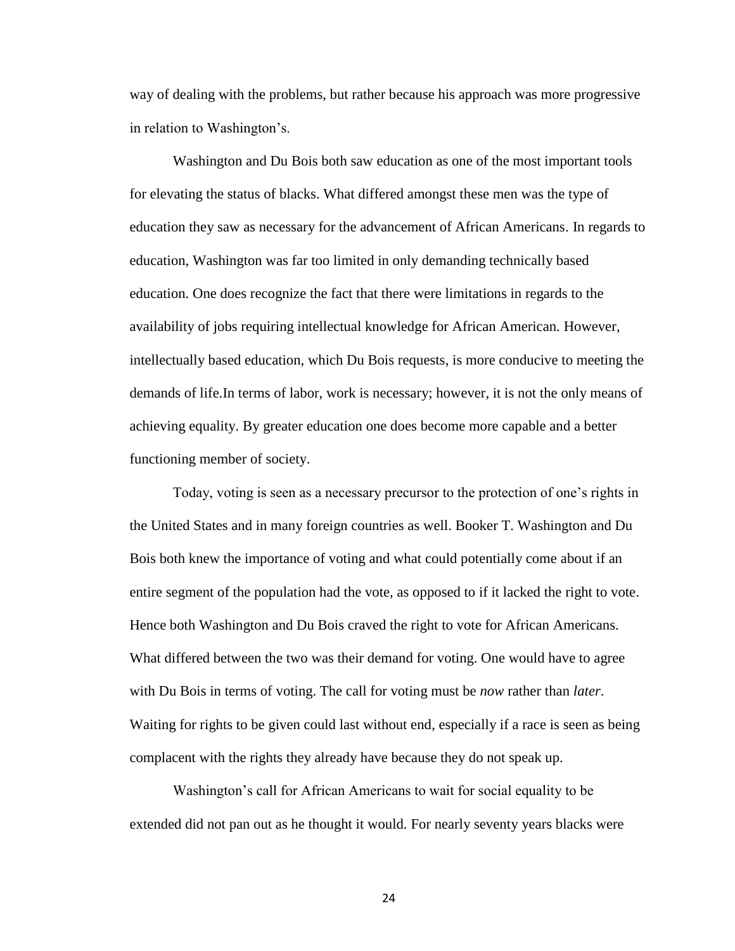way of dealing with the problems, but rather because his approach was more progressive in relation to Washington's.

Washington and Du Bois both saw education as one of the most important tools for elevating the status of blacks. What differed amongst these men was the type of education they saw as necessary for the advancement of African Americans. In regards to education, Washington was far too limited in only demanding technically based education. One does recognize the fact that there were limitations in regards to the availability of jobs requiring intellectual knowledge for African American. However, intellectually based education, which Du Bois requests, is more conducive to meeting the demands of life.In terms of labor, work is necessary; however, it is not the only means of achieving equality. By greater education one does become more capable and a better functioning member of society.

Today, voting is seen as a necessary precursor to the protection of one's rights in the United States and in many foreign countries as well. Booker T. Washington and Du Bois both knew the importance of voting and what could potentially come about if an entire segment of the population had the vote, as opposed to if it lacked the right to vote. Hence both Washington and Du Bois craved the right to vote for African Americans. What differed between the two was their demand for voting. One would have to agree with Du Bois in terms of voting. The call for voting must be *now* rather than *later*. Waiting for rights to be given could last without end, especially if a race is seen as being complacent with the rights they already have because they do not speak up.

Washington's call for African Americans to wait for social equality to be extended did not pan out as he thought it would. For nearly seventy years blacks were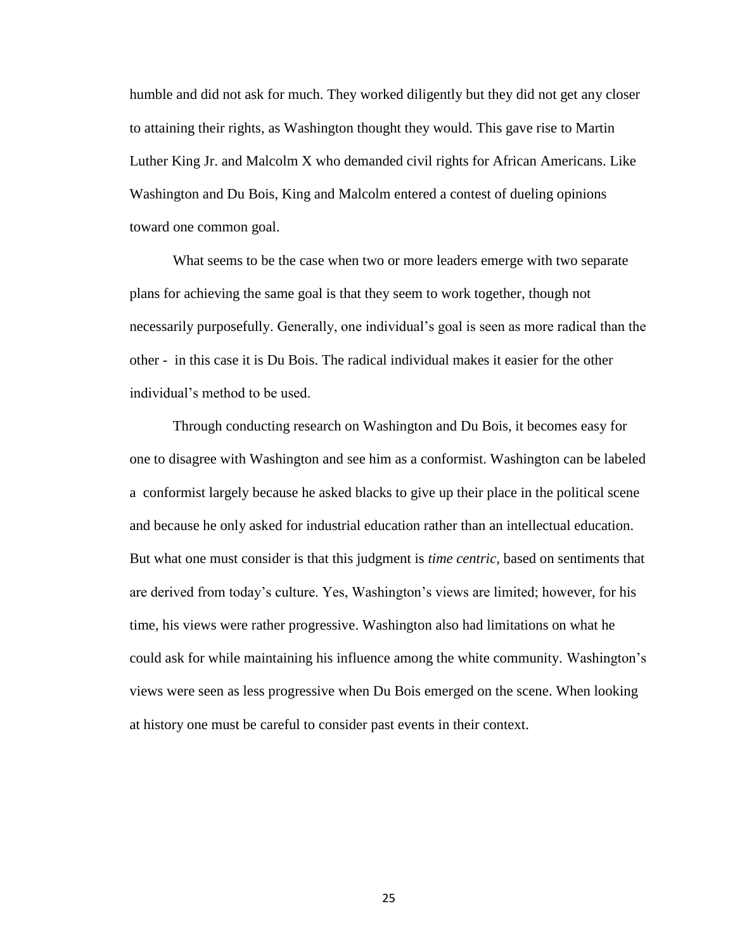humble and did not ask for much. They worked diligently but they did not get any closer to attaining their rights, as Washington thought they would. This gave rise to Martin Luther King Jr. and Malcolm X who demanded civil rights for African Americans. Like Washington and Du Bois, King and Malcolm entered a contest of dueling opinions toward one common goal.

What seems to be the case when two or more leaders emerge with two separate plans for achieving the same goal is that they seem to work together, though not necessarily purposefully. Generally, one individual's goal is seen as more radical than the other - in this case it is Du Bois. The radical individual makes it easier for the other individual's method to be used.

Through conducting research on Washington and Du Bois, it becomes easy for one to disagree with Washington and see him as a conformist. Washington can be labeled a conformist largely because he asked blacks to give up their place in the political scene and because he only asked for industrial education rather than an intellectual education. But what one must consider is that this judgment is *time centric,* based on sentiments that are derived from today's culture. Yes, Washington's views are limited; however, for his time, his views were rather progressive. Washington also had limitations on what he could ask for while maintaining his influence among the white community. Washington's views were seen as less progressive when Du Bois emerged on the scene. When looking at history one must be careful to consider past events in their context.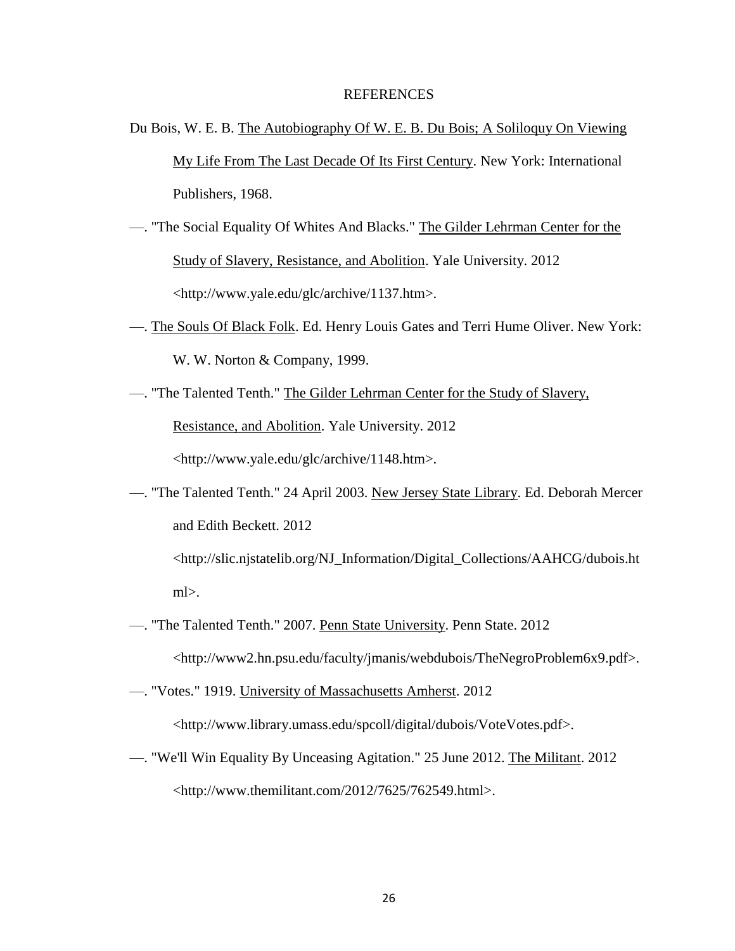#### REFERENCES

- Du Bois, W. E. B. The Autobiography Of W. E. B. Du Bois; A Soliloquy On Viewing My Life From The Last Decade Of Its First Century. New York: International Publishers, 1968.
- —. "The Social Equality Of Whites And Blacks." The Gilder Lehrman Center for the Study of Slavery, Resistance, and Abolition. Yale University. 2012 <http://www.yale.edu/glc/archive/1137.htm>.
- —. The Souls Of Black Folk. Ed. Henry Louis Gates and Terri Hume Oliver. New York: W. W. Norton & Company, 1999.
- —. "The Talented Tenth." The Gilder Lehrman Center for the Study of Slavery, Resistance, and Abolition. Yale University. 2012 <http://www.yale.edu/glc/archive/1148.htm>.
- —. "The Talented Tenth." 24 April 2003. New Jersey State Library. Ed. Deborah Mercer and Edith Beckett. 2012 <http://slic.njstatelib.org/NJ\_Information/Digital\_Collections/AAHCG/dubois.ht  $ml$  $>$ .
- —. "The Talented Tenth." 2007. Penn State University. Penn State. 2012 <http://www2.hn.psu.edu/faculty/jmanis/webdubois/TheNegroProblem6x9.pdf>.
- —. "Votes." 1919. University of Massachusetts Amherst. 2012 <http://www.library.umass.edu/spcoll/digital/dubois/VoteVotes.pdf>.
- —. "We'll Win Equality By Unceasing Agitation." 25 June 2012. The Militant. 2012 <http://www.themilitant.com/2012/7625/762549.html>.